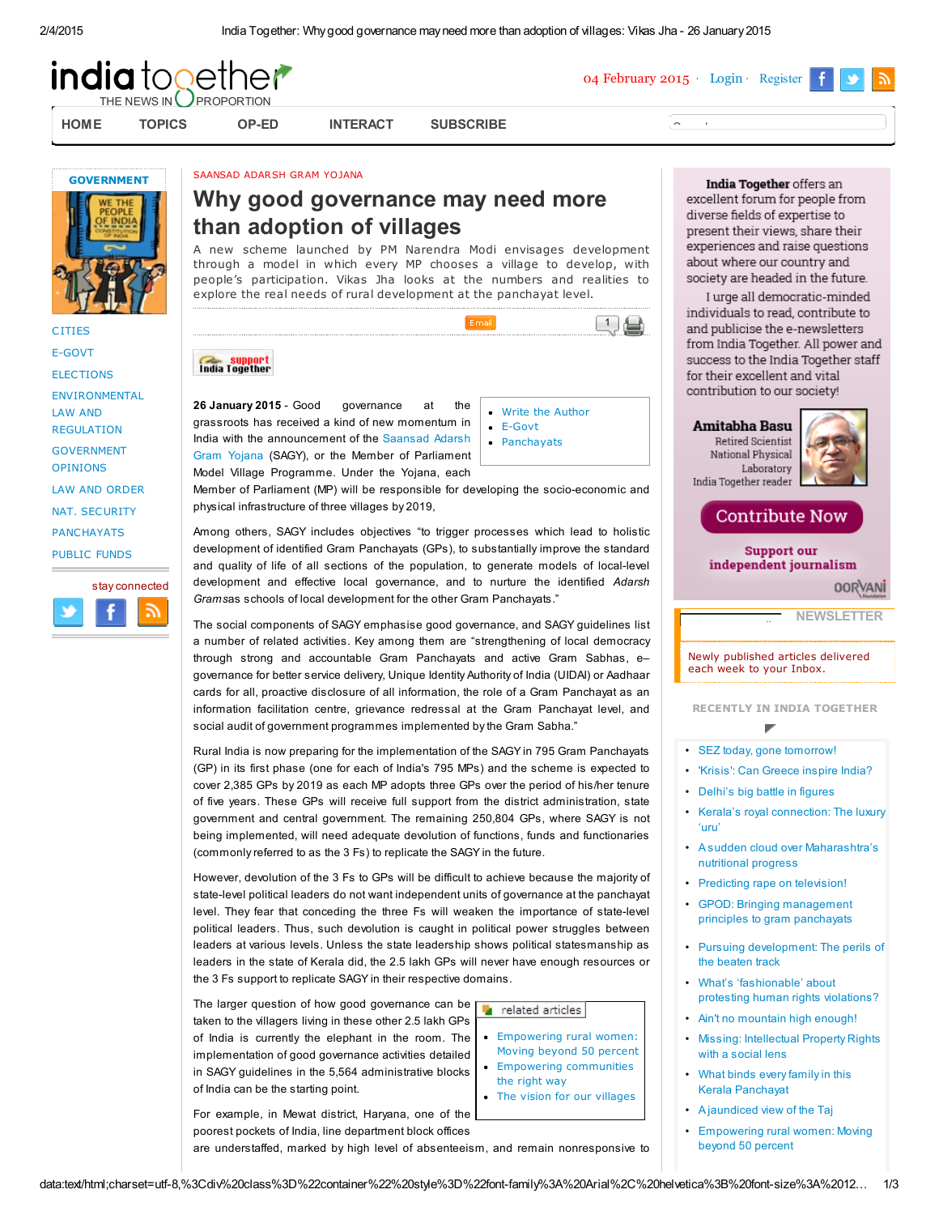

[HOME](http://indiatogether.org/) [TOPICS](http://indiatogether.org/saansad-adarsh-gram-yojana-governance-through-adoption-of-villages-government#) [OP-ED](http://indiatogether.org/saansad-adarsh-gram-yojana-governance-through-adoption-of-villages-government#) [INTERACT](http://indiatogether.org/posts) [SUBSCRIBE](http://indiatogether.org/profile/edit)



04 February 2015 [Login](http://indiatogether.org/saansad-adarsh-gram-yojana-governance-through-adoption-of-villages-government#loginModal) [Register](http://indiatogether.org/saansad-adarsh-gram-yojana-governance-through-adoption-of-villages-government#signupModal)



**[CITIES](http://indiatogether.org/c/cities)** [E-GOVT](http://indiatogether.org/c/e-govt) **[ELECTIONS](http://indiatogether.org/c/elections)** [ENVIRONMENTAL](http://indiatogether.org/c/environmental-law-and-regulation) LAW AND REGULATION [GOVERNMENT](http://indiatogether.org/c/government-opinions) **OPINIONS** LAW AND [ORDER](http://indiatogether.org/c/law-and-order) NAT. [SECURITY](http://indiatogether.org/c/nat-security) [PANCHAYATS](http://indiatogether.org/c/panchayats) [PUBLIC](http://indiatogether.org/c/public-funds) FUNDS

stay connected

SAANSAD ADARSH GRAM YOJANA

# Why good governance may need more than adoption of villages

A new scheme launched by PM Narendra Modi envisages development through a model in which every MP chooses a village to develop, with people's participation. Vikas Jha looks at the numbers and realities to explore the real needs of rural development at the panchayat level.



26 January 2015 governance at the grassroots has received a kind of new momentum in India with the [announcement](http://pib.nic.in/archieve/others/2014/oct/d2014101101.pdf) of the Saansad Adarsh Gram Yojana (SAGY), or the Member of Parliament Model Village Programme. Under the Yojana, each

Write the [Author](http://indiatogether.org/feedback/new?type=letter_to_author&feedback_item_id=saansad-adarsh-gram-yojana-governance-through-adoption-of-villages-government) [E-Govt](http://indiatogether.org/c/e-govt) • [Panchayats](http://indiatogether.org/c/panchayats)

 $\Box$ 

Member of Parliament (MP) will be responsible for developing the socio-economic and physical infrastructure of three villages by 2019,

Among others, SAGY includes objectives "to trigger processes which lead to holistic development of identified Gram Panchayats (GPs), to substantially improve the standard and quality of life of all sections of the population, to generate models of local-level development and effective local governance, and to nurture the identified Adarsh Gramsas schools of local development for the other Gram Panchayats."

The social components of SAGY emphasise good governance, and SAGY guidelines list a number of related activities. Key among them are "strengthening of local democracy through strong and accountable Gram Panchayats and active Gram Sabhas, e– governance for better service delivery, Unique Identity Authority of India (UIDAI) or Aadhaar cards for all, proactive disclosure of all information, the role of a Gram Panchayat as an information facilitation centre, grievance redressal at the Gram Panchayat level, and social audit of government programmes implemented by the Gram Sabha."

Rural India is now preparing for the implementation of the SAGY in 795 Gram Panchayats (GP) in its first phase (one for each of India's 795 MPs) and the scheme is expected to cover 2,385 GPs by 2019 as each MP adopts three GPs over the period of his/her tenure of five years. These GPs will receive full support from the district administration, state government and central government. The remaining 250,804 GPs, where SAGY is not being implemented, will need adequate devolution of functions, funds and functionaries (commonly referred to as the 3 Fs) to replicate the SAGY in the future.

However, devolution of the 3 Fs to GPs will be difficult to achieve because the majority of state-level political leaders do not want independent units of governance at the panchayat level. They fear that conceding the three Fs will weaken the importance of state-level political leaders. Thus, such devolution is caught in political power struggles between leaders at various levels. Unless the state leadership shows political statesmanship as leaders in the state of Kerala did, the 2.5 lakh GPs will never have enough resources or the 3 Fs support to replicate SAGY in their respective domains.

The larger question of how good governance can be taken to the villagers living in these other 2.5 lakh GPs of India is currently the elephant in the room. The implementation of good governance activities detailed in SAGY guidelines in the 5,564 administrative blocks of India can be the starting point.

[Empowering](http://indiatogether.org/karnataka-panchayat-raj-act-amendment-and-50-percent-reservation-women--2) rural women: Moving beyond 50 percent **Empowering [communities](http://indiatogether.org/comm-op-ed)** the right way

related articles

• The vision for our [villages](http://indiatogether.org/key-features-of-narendra-modis-saansad-adarsh-gram-yojana-government)

For example, in Mewat district, Haryana, one of the poorest pockets of India, line department block offices are understaffed, marked by high level of absenteeism, and remain nonresponsive to

India Together offers an excellent forum for people from diverse fields of expertise to present their views, share their experiences and raise questions about where our country and society are headed in the future.

I urge all democratic-minded individuals to read, contribute to and publicise the e-newsletters from India Together. All power and success to the India Together staff for their excellent and vital contribution to our society!

### Amitabha Basu

enter your email

Retired Scientist National Physical Laboratory India Together reader



# **Contribute Now**

**Support our** independent journalism **OORVANI** 

**[NEWSLETTER](http://indiatogether.org/profile/edit)** 

Newly published articles delivered each week to your Inbox.

RECENTLY IN INDIA TOGETHER

# • SEZ today, gone [tomorrow!](http://indiatogether.org/cag-performance-audit-of-sez-government)

- 'Krisis': Can [Greece](http://indiatogether.org/can-syriza-win-in-greece-inspire-india-and-aap-op-ed) inspire India?
- [Delhi's](http://indiatogether.org/data-and-trivia-about-delhi-election-battle-government) big battle in figures
- Kerala's royal [connection:](http://indiatogether.org/making-of-luxury-uru-in-beypore-kerala-for-qatar-royal-family-economy) The luxury 'uru'
- A sudden cloud over [Maharashtra's](http://indiatogether.org/dlhs-data-on-wasting-stunting-underweight-children-throws-cloud-on-maharashtra-nutritional-progress-economy) nutritional progress
- Predicting rape on [television!](http://indiatogether.org/astrology-show-on-television-predicting-rape-media)
- GPOD: Bringing [management](http://indiatogether.org/gram-panchayat-karnataka-strengthened-by-management-principles-government) principles to gram panchayats
- Pursuing [development:](http://indiatogether.org/development-in-maharashtra-perils-of-the-beaten-track-economy) The perils of the beaten track
- What's ['fashionable'](http://indiatogether.org/supreme-court-judgment-human-rights-violations-pankaj-butalia-film-op-ed) about protesting human rights violations?
- Ain't no [mountain](http://indiatogether.org/dehradun-s-twin-sisters-scale-highest-mountains-people) high enough!
- Missing: [Intellectual](http://indiatogether.org/commercial-versus-social-lens-for-intellectual-property-rights-ipr-policy-government) Property Rights with a social lens
- What binds every family in this Kerala [Panchayat](http://indiatogether.org/organic-farming-initiative-in-kerala-kanjikkuzhi-panchayat-agriculture)
- A [jaundiced](http://indiatogether.org/air-pollution-discolours-taj-mahal-creating-jaundiced-view-environment) view of the Taj
- [Empowering](http://indiatogether.org/karnataka-panchayat-raj-act-amendment-and-50-percent-reservation-women--2) rural women: Moving beyond 50 percent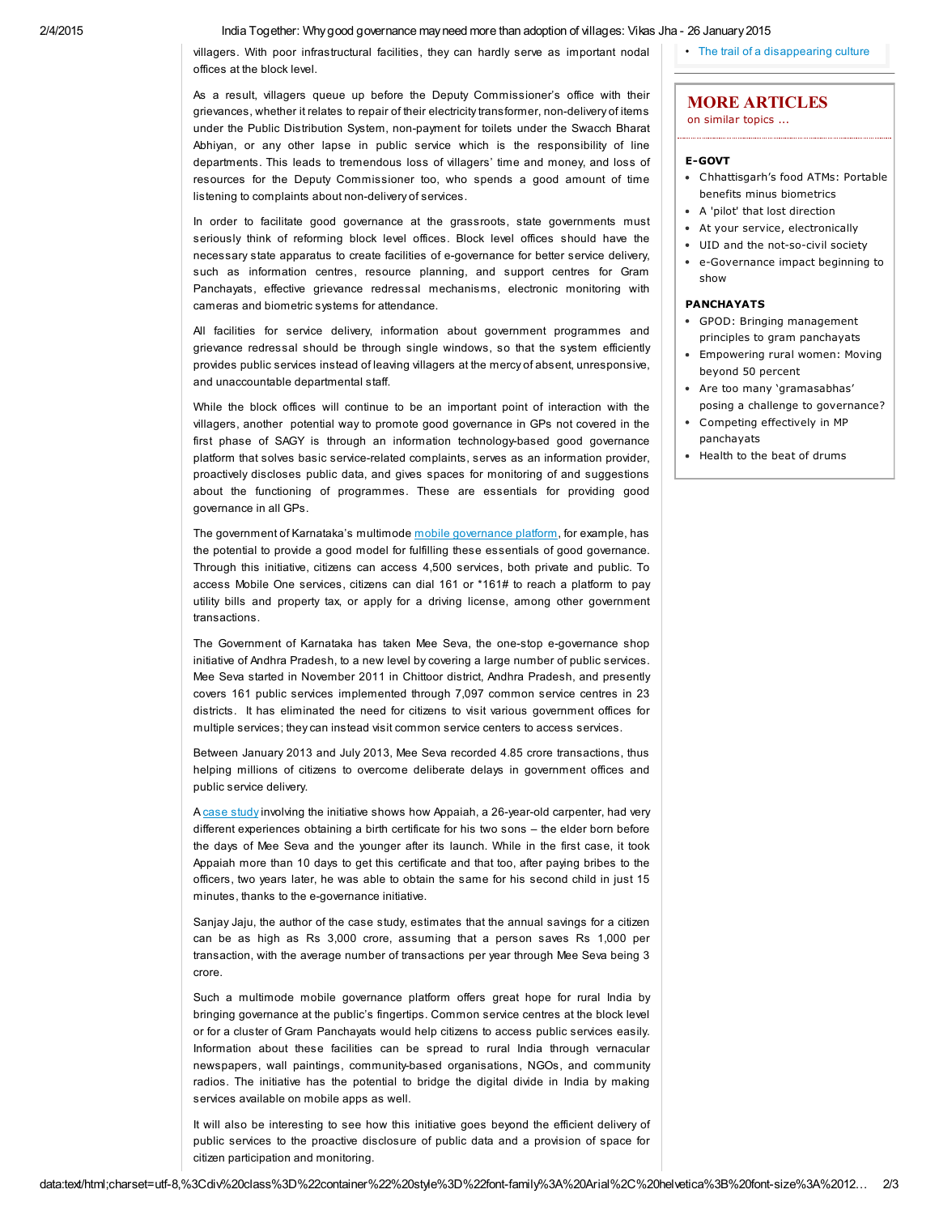#### 2/4/2015 India Together: Whygood governance mayneed more than adoption of villages: Vikas Jha - 26 January2015

villagers. With poor infrastructural facilities, they can hardly serve as important nodal offices at the block level.

As a result, villagers queue up before the Deputy Commissioner's office with their grievances, whether it relates to repair of their electricity transformer, non-delivery of items under the Public Distribution System, non-payment for toilets under the Swacch Bharat Abhiyan, or any other lapse in public service which is the responsibility of line departments. This leads to tremendous loss of villagers' time and money, and loss of resources for the Deputy Commissioner too, who spends a good amount of time listening to complaints about non-delivery of services.

In order to facilitate good governance at the grassroots, state governments must seriously think of reforming block level offices. Block level offices should have the necessary state apparatus to create facilities of e-governance for better service delivery, such as information centres, resource planning, and support centres for Gram Panchayats, effective grievance redressal mechanisms, electronic monitoring with cameras and biometric systems for attendance.

All facilities for service delivery, information about government programmes and grievance redressal should be through single windows, so that the system efficiently provides public services instead of leaving villagers at the mercy of absent, unresponsive, and unaccountable departmental staff.

While the block offices will continue to be an important point of interaction with the villagers, another potential way to promote good governance in GPs not covered in the first phase of SAGY is through an information technology-based good governance platform that solves basic service-related complaints, serves as an information provider, proactively discloses public data, and gives spaces for monitoring of and suggestions about the functioning of programmes. These are essentials for providing good governance in all GPs.

The government of Karnataka's multimode mobile [governance](http://www.business-standard.com/article/economy-policy/karnataka-to-launch-mobile-governance-portal-mobile-one-114120800424_1.html) platform, for example, has the potential to provide a good model for fulfilling these essentials of good governance. Through this initiative, citizens can access 4,500 services, both private and public. To access Mobile One services, citizens can dial 161 or \*161# to reach a platform to pay utility bills and property tax, or apply for a driving license, among other government transactions.

The Government of Karnataka has taken Mee Seva, the one-stop e-governance shop initiative of Andhra Pradesh, to a new level by covering a large number of public services. Mee Seva started in November 2011 in Chittoor district, Andhra Pradesh, and presently covers 161 public services implemented through 7,097 common service centres in 23 districts. It has eliminated the need for citizens to visit various government offices for multiple services; they can instead visit common service centers to access services.

Between January 2013 and July 2013, Mee Seva recorded 4.85 crore transactions, thus helping millions of citizens to overcome deliberate delays in government offices and public service delivery.

A case [study](http://tg.meeseva.gov.in/DeptPortal/Downloads/Mseva%20Docs/Mee%20Seva%20-%20LBSNA%20Case%20Study.pdf) involving the initiative shows how Appaiah, a 26-year-old carpenter, had very different experiences obtaining a birth certificate for his two sons – the elder born before the days of Mee Seva and the younger after its launch. While in the first case, it took Appaiah more than 10 days to get this certificate and that too, after paying bribes to the officers, two years later, he was able to obtain the same for his second child in just 15 minutes, thanks to the e-governance initiative.

Sanjay Jaju, the author of the case study, estimates that the annual savings for a citizen can be as high as Rs 3,000 crore, assuming that a person saves Rs 1,000 per transaction, with the average number of transactions per year through Mee Seva being 3 crore.

Such a multimode mobile governance platform offers great hope for rural India by bringing governance at the public's fingertips. Common service centres at the block level or for a cluster of Gram Panchayats would help citizens to access public services easily. Information about these facilities can be spread to rural India through vernacular newspapers, wall paintings, community-based organisations, NGOs, and community radios. The initiative has the potential to bridge the digital divide in India by making services available on mobile apps as well.

It will also be interesting to see how this initiative goes beyond the efficient delivery of public services to the proactive disclosure of public data and a provision of space for citizen participation and monitoring.

• The trail of a [disappearing](http://indiatogether.org/film-have-you-seen-the-arana-and-a-disappearing-culture-reviews) culture

### MORE ARTICLES on similar topics ...

## [E-GOVT](http://indiatogether.org/c/e-govt)

- [Chhattisgarh's](http://indiatogether.org/core-pds-smart-system-in-raipur-chhattisgarh-food-security-portability-government) food ATMs: Portable benefits minus biometrics
- A 'pilot' that lost [direction](http://indiatogether.org/aadhaar-economy)
- At your service, [electronically](http://indiatogether.org/eds-laws)
- UID and the [not-so-civil](http://indiatogether.org/uid-government) society
- [e-Governance](http://indiatogether.org/cscegov-government) impact beginning to show

# [PANCHAYATS](http://indiatogether.org/c/panchayats)

- GPOD: Bringing [management](http://indiatogether.org/gram-panchayat-karnataka-strengthened-by-management-principles-government) principles to gram panchayats
- [Empowering](http://indiatogether.org/karnataka-panchayat-raj-act-amendment-and-50-percent-reservation-women--2) rural women: Moving beyond 50 percent
- Are too many ['gramasabhas'](http://indiatogether.org/strengthening-local-governance-through-gramasabhas-under-kerala-panchayat-government) posing a challenge to governance?
- Competing effectively in MP [panchayats](http://indiatogether.org/womensarp-government--2)
- [Health](http://indiatogether.org/banswara-health) to the beat of drums